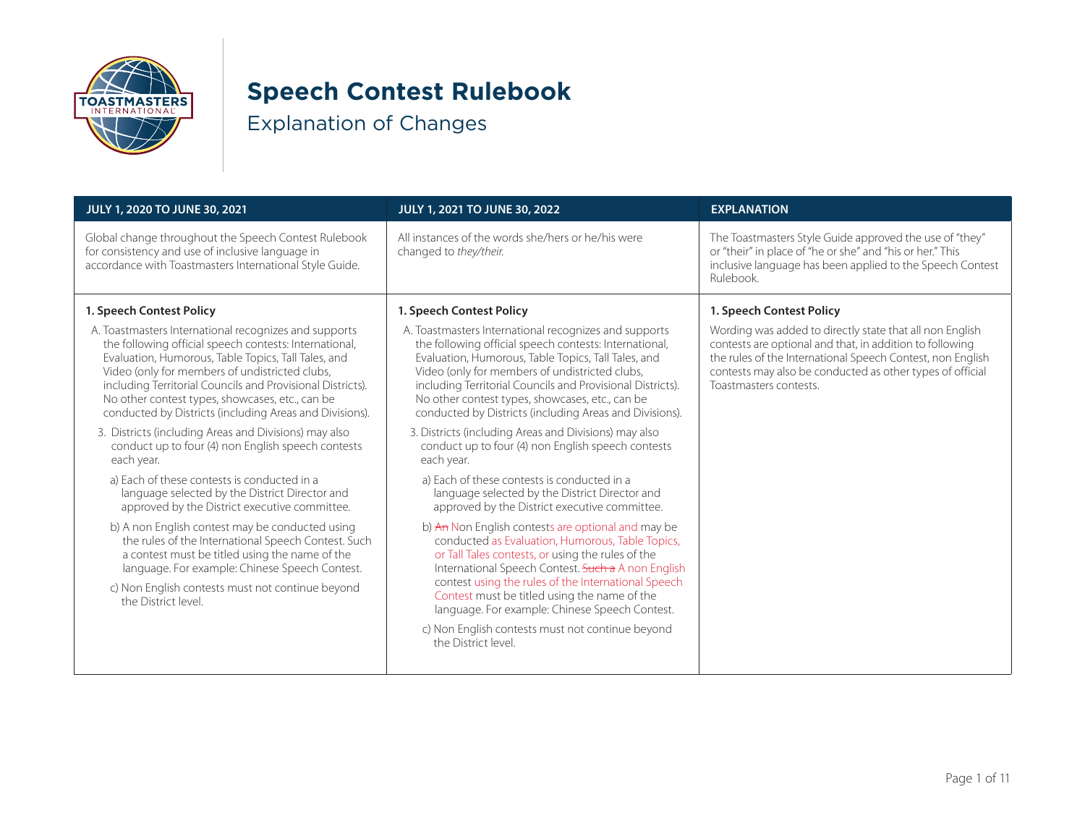

# **Speech Contest Rulebook**

Explanation of Changes

| <b>JULY 1, 2020 TO JUNE 30, 2021</b>                                                                                                                                                                                                                                                                                                                                                                                                                                                                                | JULY 1, 2021 TO JUNE 30, 2022                                                                                                                                                                                                                                                                                                                                                                                                                                                                                       | <b>EXPLANATION</b>                                                                                                                                                                                                                                                        |
|---------------------------------------------------------------------------------------------------------------------------------------------------------------------------------------------------------------------------------------------------------------------------------------------------------------------------------------------------------------------------------------------------------------------------------------------------------------------------------------------------------------------|---------------------------------------------------------------------------------------------------------------------------------------------------------------------------------------------------------------------------------------------------------------------------------------------------------------------------------------------------------------------------------------------------------------------------------------------------------------------------------------------------------------------|---------------------------------------------------------------------------------------------------------------------------------------------------------------------------------------------------------------------------------------------------------------------------|
| Global change throughout the Speech Contest Rulebook<br>for consistency and use of inclusive language in<br>accordance with Toastmasters International Style Guide.                                                                                                                                                                                                                                                                                                                                                 | All instances of the words she/hers or he/his were<br>changed to they/their.                                                                                                                                                                                                                                                                                                                                                                                                                                        | The Toastmasters Style Guide approved the use of "they"<br>or "their" in place of "he or she" and "his or her." This<br>inclusive language has been applied to the Speech Contest<br>Rulebook.                                                                            |
| 1. Speech Contest Policy                                                                                                                                                                                                                                                                                                                                                                                                                                                                                            | 1. Speech Contest Policy                                                                                                                                                                                                                                                                                                                                                                                                                                                                                            | 1. Speech Contest Policy                                                                                                                                                                                                                                                  |
| A. Toastmasters International recognizes and supports<br>the following official speech contests: International,<br>Evaluation, Humorous, Table Topics, Tall Tales, and<br>Video (only for members of undistricted clubs,<br>including Territorial Councils and Provisional Districts).<br>No other contest types, showcases, etc., can be<br>conducted by Districts (including Areas and Divisions).<br>3. Districts (including Areas and Divisions) may also<br>conduct up to four (4) non English speech contests | A. Toastmasters International recognizes and supports<br>the following official speech contests: International,<br>Evaluation, Humorous, Table Topics, Tall Tales, and<br>Video (only for members of undistricted clubs,<br>including Territorial Councils and Provisional Districts).<br>No other contest types, showcases, etc., can be<br>conducted by Districts (including Areas and Divisions).<br>3. Districts (including Areas and Divisions) may also<br>conduct up to four (4) non English speech contests | Wording was added to directly state that all non English<br>contests are optional and that, in addition to following<br>the rules of the International Speech Contest, non English<br>contests may also be conducted as other types of official<br>Toastmasters contests. |
| each year.                                                                                                                                                                                                                                                                                                                                                                                                                                                                                                          | each year.                                                                                                                                                                                                                                                                                                                                                                                                                                                                                                          |                                                                                                                                                                                                                                                                           |
| a) Each of these contests is conducted in a<br>language selected by the District Director and<br>approved by the District executive committee.                                                                                                                                                                                                                                                                                                                                                                      | a) Each of these contests is conducted in a<br>language selected by the District Director and<br>approved by the District executive committee.                                                                                                                                                                                                                                                                                                                                                                      |                                                                                                                                                                                                                                                                           |
| b) A non English contest may be conducted using<br>the rules of the International Speech Contest. Such<br>a contest must be titled using the name of the<br>language. For example: Chinese Speech Contest.<br>c) Non English contests must not continue beyond<br>the District level.                                                                                                                                                                                                                               | b) An Non English contests are optional and may be<br>conducted as Evaluation, Humorous, Table Topics,<br>or Tall Tales contests, or using the rules of the<br>International Speech Contest. Such a A non English<br>contest using the rules of the International Speech<br>Contest must be titled using the name of the<br>language. For example: Chinese Speech Contest.<br>c) Non English contests must not continue beyond<br>the District level.                                                               |                                                                                                                                                                                                                                                                           |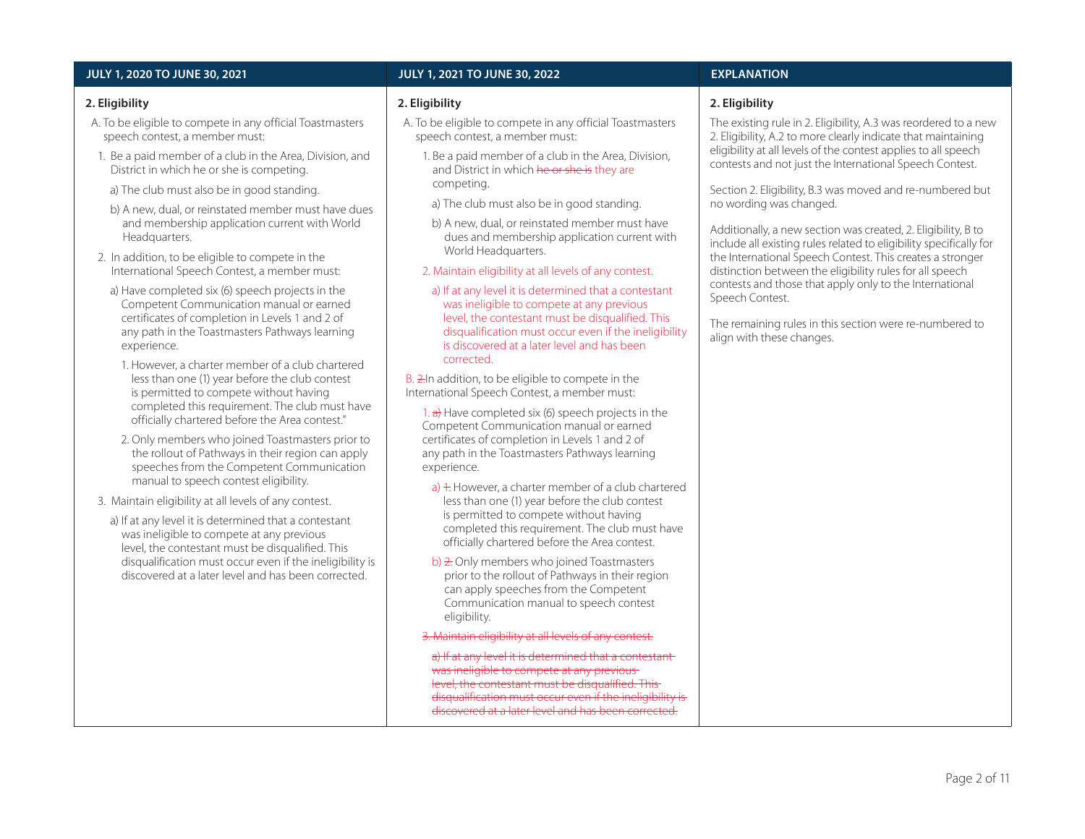### **2. Eligibility**

- A. To be eligible to compete in any official Toastmasters speech contest, a member must:
- 1. Be a paid member of a club in the Area, Division, and District in which he or she is competing.
- a) The club must also be in good standing.
- b) A new, dual, or reinstated member must have dues and membership application current with World Headquarters.
- 2. In addition, to be eligible to compete in the International Speech Contest, a member must:
	- a) Have completed six (6) speech projects in the Competent Communication manual or earned certificates of completion in Levels 1 and 2 of any path in the Toastmasters Pathways learning experience.
	- 1. However, a charter member of a club chartered less than one (1) year before the club contest is permitted to compete without having completed this requirement. The club must have officially chartered before the Area contest."
	- 2. Only members who joined Toastmasters prior to the rollout of Pathways in their region can apply speeches from the Competent Communication manual to speech contest eligibility.
- 3. Maintain eligibility at all levels of any contest.
	- a) If at any level it is determined that a contestant was ineligible to compete at any previous level, the contestant must be disqualified. This disqualification must occur even if the ineligibility is discovered at a later level and has been corrected.

## **2. Eligibility**

- A. To be eligible to compete in any official Toastmasters speech contest, a member must:
	- 1. Be a paid member of a club in the Area, Division, and District in which he or she is they are competing.
		- a) The club must also be in good standing.
	- b) A new, dual, or reinstated member must have dues and membership application current with World Headquarters.

### 2. Maintain eligibility at all levels of any contest.

a) If at any level it is determined that a contestant was ineligible to compete at any previous level, the contestant must be disqualified. This disqualification must occur even if the ineligibility is discovered at a later level and has been corrected.

B.  $\geq$  In addition, to be eligible to compete in the International Speech Contest, a member must:

1.  $a)$  Have completed six (6) speech projects in the Competent Communication manual or earned certificates of completion in Levels 1 and 2 of any path in the Toastmasters Pathways learning experience.

- a)  $+$ . However, a charter member of a club chartered less than one (1) year before the club contest is permitted to compete without having completed this requirement. The club must have officially chartered before the Area contest.
- b) 2. Only members who joined Toastmasters prior to the rollout of Pathways in their region can apply speeches from the Competent Communication manual to speech contest eligibility.

#### 3. Maintain eligibility at all levels of any contest.

a) If at any level it is determined that a conte was ineligible to compete at any previous level, the contestant must be disq disqualification must occur even if the inel discovered at a later level and has been corrected.

## **2. Eligibility**

The existing rule in 2. Eligibility, A.3 was reordered to a new 2. Eligibility, A.2 to more clearly indicate that maintaining eligibility at all levels of the contest applies to all speech contests and not just the International Speech Contest.

Section 2. Eligibility, B.3 was moved and re-numbered but no wording was changed.

Additionally, a new section was created, 2. Eligibility, B to include all existing rules related to eligibility specifically for the International Speech Contest. This creates a stronger distinction between the eligibility rules for all speech contests and those that apply only to the International Speech Contest.

The remaining rules in this section were re-numbered to align with these changes.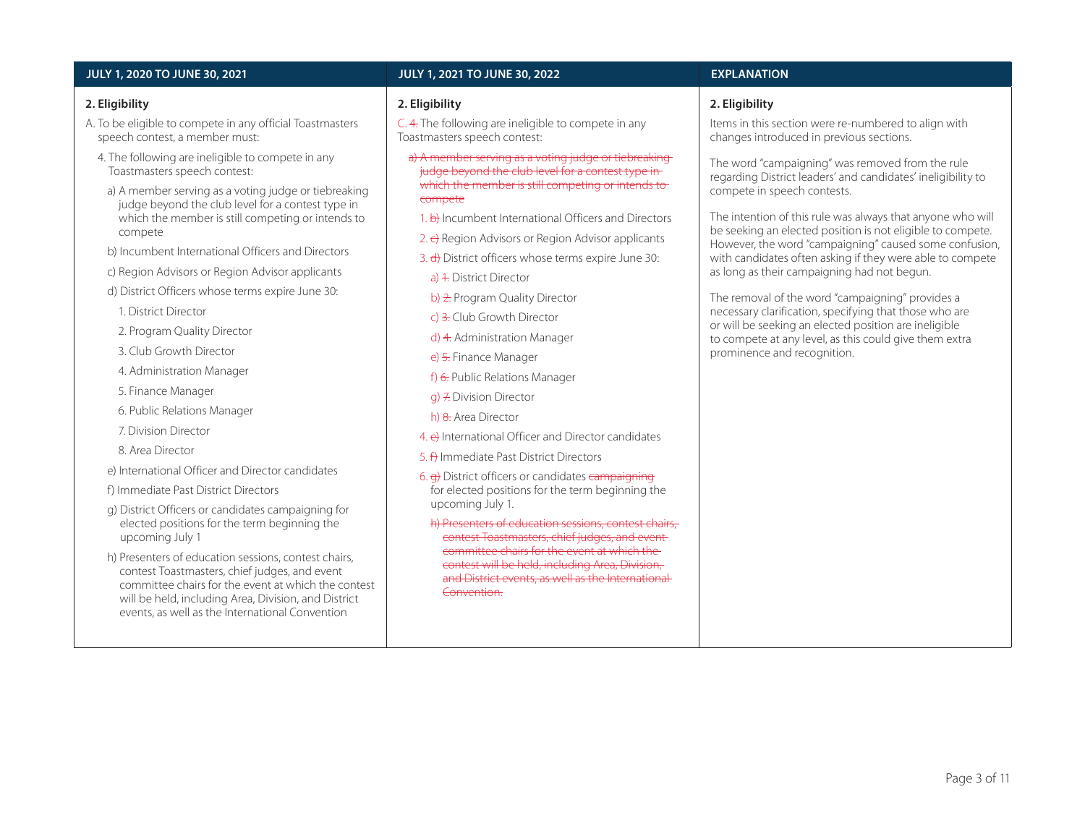### **2. Eligibility**

- A. To be eligible to compete in any official Toastmasters speech contest, a member must:
	- 4. The following are ineligible to compete in any Toastmasters speech contest:
	- a) A member serving as a voting judge or tiebreaking judge beyond the club level for a contest type in which the member is still competing or intends to compete
	- b) Incumbent International Officers and Directors
	- c) Region Advisors or Region Advisor applicants
	- d) District Officers whose terms expire June 30:

1. District Director

- 2. Program Quality Director
- 3. Club Growth Director
- 4. Administration Manager
- 5. Finance Manager
- 6. Public Relations Manager
- 7. Division Director
- 8. Area Director
- e) International Officer and Director candidates
- f) Immediate Past District Directors
- g) District Officers or candidates campaigning for elected positions for the term beginning the upcoming July 1
- h) Presenters of education sessions, contest chairs, contest Toastmasters, chief judges, and event committee chairs for the event at which the contest will be held, including Area, Division, and District events, as well as the International Convention

### **2. Eligibility**

C. 4. The following are ineligible to compete in any Toastmasters speech contest:

- a) A member serving as a voting judge or tiebreaking judge beyond the club level for a contest type inwhich the member is still competing or intends to compete
	- 1.  $\theta$ ) Incumbent International Officers and Directors
	- 2.  $\leftrightarrow$  Region Advisors or Region Advisor applicants
- 3. d) District officers whose terms expire June 30:
	- a) + District Director
	- b) 2. Program Quality Director
	- c) 3. Club Growth Director
- d) 4. Administration Manager
- e) 5. Finance Manager
- f) 6. Public Relations Manager
- g) 7. Division Director
- h) 8. Area Director
- 4. e) International Officer and Director candidates
- 5. f) Immediate Past District Directors
- $6.$   $\sigma$ ) District officers or candidates campaigning for elected positions for the term beginning the upcoming July 1.
- h) Presenters of education sessions, contest chairs, contest Toastmasters, chief judges, and  $\epsilon$ committee chairs for the event at which the contest will be held, including Area, Division, and District events, as well as the International Convention.

### **2. Eligibility**

Items in this section were re-numbered to align with changes introduced in previous sections.

The word "campaigning" was removed from the rule regarding District leaders' and candidates' ineligibility to compete in speech contests.

The intention of this rule was always that anyone who will be seeking an elected position is not eligible to compete. However, the word "campaigning" caused some confusion, with candidates often asking if they were able to compete as long as their campaigning had not begun.

The removal of the word "campaigning" provides a necessary clarification, specifying that those who are or will be seeking an elected position are ineligible to compete at any level, as this could give them extra prominence and recognition.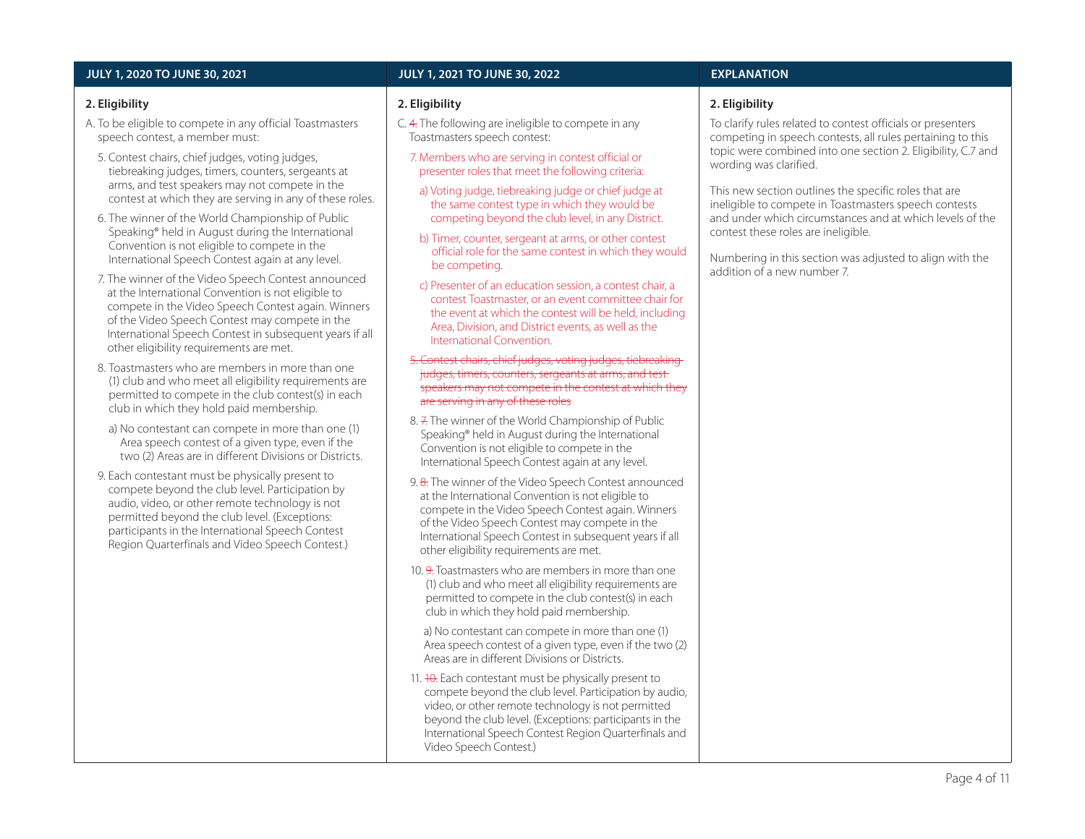### **2. Eligibility**

- A. To be eligible to compete in any official Toastmasters speech contest, a member must:
	- 5. Contest chairs, chief judges, voting judges, tiebreaking judges, timers, counters, sergeants at arms, and test speakers may not compete in the contest at which they are serving in any of these roles.
	- 6. The winner of the World Championship of Public Speaking® held in August during the International Convention is not eligible to compete in the International Speech Contest again at any level.
	- 7. The winner of the Video Speech Contest announced at the International Convention is not eligible to compete in the Video Speech Contest again. Winners of the Video Speech Contest may compete in the International Speech Contest in subsequent years if all other eligibility requirements are met.
	- 8. Toastmasters who are members in more than one (1) club and who meet all eligibility requirements are permitted to compete in the club contest(s) in each club in which they hold paid membership.
	- a) No contestant can compete in more than one (1) Area speech contest of a given type, even if the two (2) Areas are in different Divisions or Districts.
	- 9. Each contestant must be physically present to compete beyond the club level. Participation by audio, video, or other remote technology is not permitted beyond the club level. (Exceptions: participants in the International Speech Contest Region Quarterfinals and Video Speech Contest.)

### **2. Eligibility**

- C. 4. The following are ineligible to compete in any Toastmasters speech contest:
	- 7. Members who are serving in contest official or presenter roles that meet the following criteria:
	- a) Voting judge, tiebreaking judge or chief judge at the same contest type in which they would be competing beyond the club level, in any District.
	- b) Timer, counter, sergeant at arms, or other contest official role for the same contest in which they would be competing.
	- c) Presenter of an education session, a contest chair, a contest Toastmaster, or an event committee chair for the event at which the contest will be held, including Area, Division, and District events, as well as the International Convention.
- 5. Contest chairs, chief judges, voting judges, judges, timers, counters, sergeants at arms, and test speakers may not compete in the contest at which they are serving in any of these roles
- 8. 7. The winner of the World Championship of Public Speaking® held in August during the International Convention is not eligible to compete in the International Speech Contest again at any level.
- 9. 8. The winner of the Video Speech Contest announced at the International Convention is not eligible to compete in the Video Speech Contest again. Winners of the Video Speech Contest may compete in the International Speech Contest in subsequent years if all other eligibility requirements are met.
- 10. 9. Toastmasters who are members in more than one (1) club and who meet all eligibility requirements are permitted to compete in the club contest(s) in each club in which they hold paid membership.

a) No contestant can compete in more than one (1) Area speech contest of a given type, even if the two (2) Areas are in different Divisions or Districts.

11.  $10.$  Each contestant must be physically present to compete beyond the club level. Participation by audio, video, or other remote technology is not permitted beyond the club level. (Exceptions: participants in the International Speech Contest Region Quarterfinals and Video Speech Contest.)

### **2. Eligibility**

To clarify rules related to contest officials or presenters competing in speech contests, all rules pertaining to this topic were combined into one section 2. Eligibility, C.7 and wording was clarified.

This new section outlines the specific roles that are ineligible to compete in Toastmasters speech contests and under which circumstances and at which levels of the contest these roles are ineligible.

Numbering in this section was adjusted to align with the addition of a new number 7.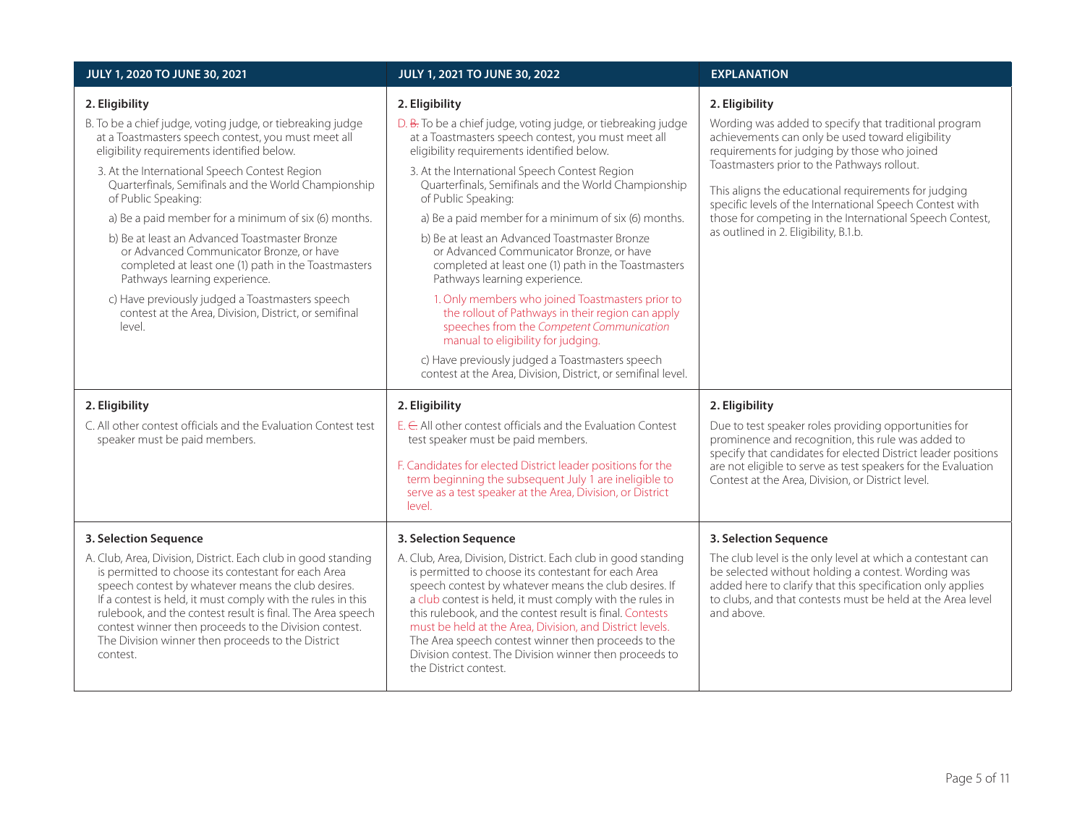| JULY 1, 2020 TO JUNE 30, 2021                                                                                                                                                                                                                                                                                                                                                                                                     | JULY 1, 2021 TO JUNE 30, 2022                                                                                                                                                                                                                                                                                                                                                                                                                                                                               | <b>EXPLANATION</b>                                                                                                                                                                                                                                                                                                           |
|-----------------------------------------------------------------------------------------------------------------------------------------------------------------------------------------------------------------------------------------------------------------------------------------------------------------------------------------------------------------------------------------------------------------------------------|-------------------------------------------------------------------------------------------------------------------------------------------------------------------------------------------------------------------------------------------------------------------------------------------------------------------------------------------------------------------------------------------------------------------------------------------------------------------------------------------------------------|------------------------------------------------------------------------------------------------------------------------------------------------------------------------------------------------------------------------------------------------------------------------------------------------------------------------------|
| 2. Eligibility                                                                                                                                                                                                                                                                                                                                                                                                                    | 2. Eligibility                                                                                                                                                                                                                                                                                                                                                                                                                                                                                              | 2. Eligibility                                                                                                                                                                                                                                                                                                               |
| B. To be a chief judge, voting judge, or tiebreaking judge<br>at a Toastmasters speech contest, you must meet all<br>eligibility requirements identified below.                                                                                                                                                                                                                                                                   | D. B. To be a chief judge, voting judge, or tiebreaking judge<br>at a Toastmasters speech contest, you must meet all<br>eligibility requirements identified below.                                                                                                                                                                                                                                                                                                                                          | Wording was added to specify that traditional program<br>achievements can only be used toward eligibility<br>requirements for judging by those who joined<br>Toastmasters prior to the Pathways rollout.<br>This aligns the educational requirements for judging<br>specific levels of the International Speech Contest with |
| 3. At the International Speech Contest Region<br>Quarterfinals, Semifinals and the World Championship<br>of Public Speaking:                                                                                                                                                                                                                                                                                                      | 3. At the International Speech Contest Region<br>Quarterfinals, Semifinals and the World Championship<br>of Public Speaking:                                                                                                                                                                                                                                                                                                                                                                                |                                                                                                                                                                                                                                                                                                                              |
| a) Be a paid member for a minimum of six (6) months.                                                                                                                                                                                                                                                                                                                                                                              | a) Be a paid member for a minimum of six (6) months.                                                                                                                                                                                                                                                                                                                                                                                                                                                        | those for competing in the International Speech Contest,                                                                                                                                                                                                                                                                     |
| b) Be at least an Advanced Toastmaster Bronze<br>or Advanced Communicator Bronze, or have<br>completed at least one (1) path in the Toastmasters<br>Pathways learning experience.                                                                                                                                                                                                                                                 | b) Be at least an Advanced Toastmaster Bronze<br>or Advanced Communicator Bronze, or have<br>completed at least one (1) path in the Toastmasters<br>Pathways learning experience.                                                                                                                                                                                                                                                                                                                           | as outlined in 2. Eligibility, B.1.b.                                                                                                                                                                                                                                                                                        |
| c) Have previously judged a Toastmasters speech<br>contest at the Area, Division, District, or semifinal<br>level.                                                                                                                                                                                                                                                                                                                | 1. Only members who joined Toastmasters prior to<br>the rollout of Pathways in their region can apply<br>speeches from the Competent Communication<br>manual to eligibility for judging.                                                                                                                                                                                                                                                                                                                    |                                                                                                                                                                                                                                                                                                                              |
|                                                                                                                                                                                                                                                                                                                                                                                                                                   | c) Have previously judged a Toastmasters speech<br>contest at the Area, Division, District, or semifinal level.                                                                                                                                                                                                                                                                                                                                                                                             |                                                                                                                                                                                                                                                                                                                              |
| 2. Eligibility                                                                                                                                                                                                                                                                                                                                                                                                                    | 2. Eligibility                                                                                                                                                                                                                                                                                                                                                                                                                                                                                              | 2. Eligibility                                                                                                                                                                                                                                                                                                               |
| C. All other contest officials and the Evaluation Contest test<br>speaker must be paid members.                                                                                                                                                                                                                                                                                                                                   | $F \in$ All other contest officials and the Evaluation Contest<br>test speaker must be paid members.<br>F. Candidates for elected District leader positions for the<br>term beginning the subsequent July 1 are ineligible to<br>serve as a test speaker at the Area, Division, or District                                                                                                                                                                                                                 | Due to test speaker roles providing opportunities for<br>prominence and recognition, this rule was added to<br>specify that candidates for elected District leader positions<br>are not eligible to serve as test speakers for the Evaluation<br>Contest at the Area, Division, or District level.                           |
|                                                                                                                                                                                                                                                                                                                                                                                                                                   | level.                                                                                                                                                                                                                                                                                                                                                                                                                                                                                                      |                                                                                                                                                                                                                                                                                                                              |
| 3. Selection Sequence                                                                                                                                                                                                                                                                                                                                                                                                             | 3. Selection Sequence                                                                                                                                                                                                                                                                                                                                                                                                                                                                                       | 3. Selection Sequence                                                                                                                                                                                                                                                                                                        |
| A. Club, Area, Division, District. Each club in good standing<br>is permitted to choose its contestant for each Area<br>speech contest by whatever means the club desires.<br>If a contest is held, it must comply with the rules in this<br>rulebook, and the contest result is final. The Area speech<br>contest winner then proceeds to the Division contest.<br>The Division winner then proceeds to the District<br>contest. | A. Club, Area, Division, District. Each club in good standing<br>is permitted to choose its contestant for each Area<br>speech contest by whatever means the club desires. If<br>a club contest is held, it must comply with the rules in<br>this rulebook, and the contest result is final. Contests<br>must be held at the Area, Division, and District levels.<br>The Area speech contest winner then proceeds to the<br>Division contest. The Division winner then proceeds to<br>the District contest. | The club level is the only level at which a contestant can<br>be selected without holding a contest. Wording was<br>added here to clarify that this specification only applies<br>to clubs, and that contests must be held at the Area level<br>and above.                                                                   |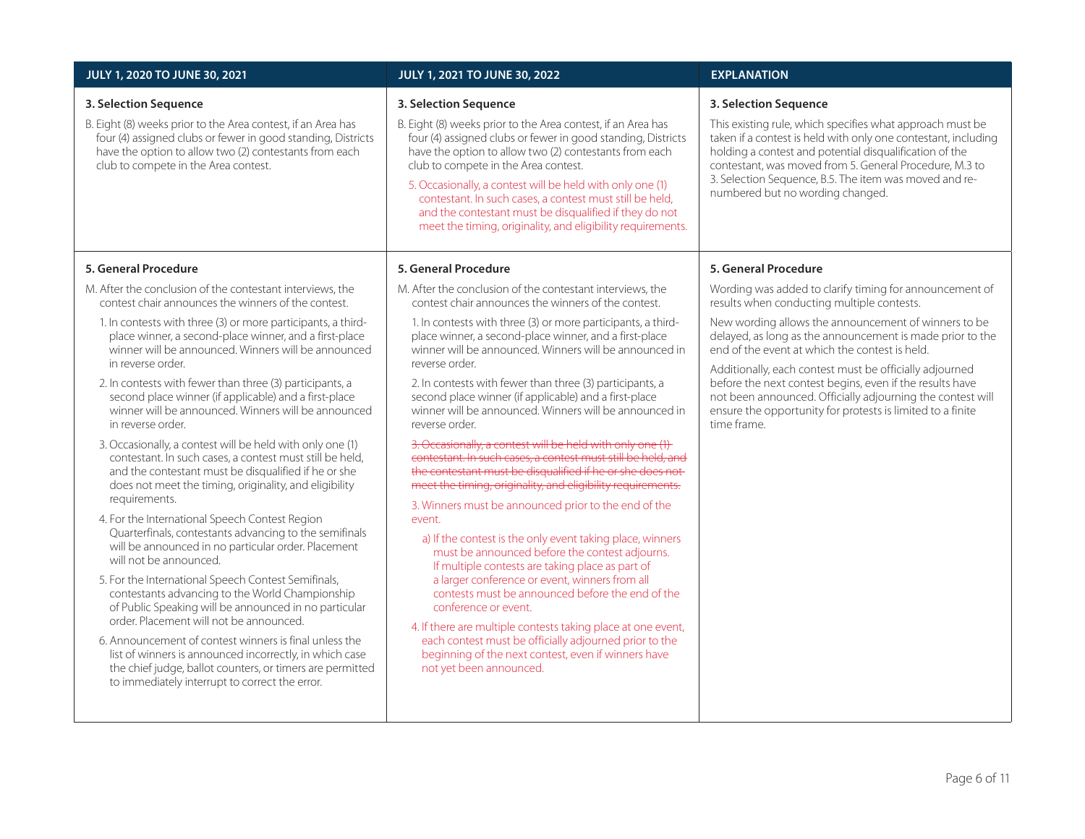#### **JULY 1, 2020 TO JUNE 30, 2021 JULY 1, 2021 TO JUNE 30, 2022 EXPLANATION 3. Selection Sequence** B. Eight (8) weeks prior to the Area contest, if an Area has four (4) assigned clubs or fewer in good standing, Districts have the option to allow two (2) contestants from each club to compete in the Area contest. **3. Selection Sequence** B. Eight (8) weeks prior to the Area contest, if an Area has four (4) assigned clubs or fewer in good standing, Districts have the option to allow two (2) contestants from each club to compete in the Area contest. 5. Occasionally, a contest will be held with only one (1) contestant. In such cases, a contest must still be held, and the contestant must be disqualified if they do not meet the timing, originality, and eligibility requirements. **3. Selection Sequence** This existing rule, which specifies what approach must be taken if a contest is held with only one contestant, including holding a contest and potential disqualification of the contestant, was moved from 5. General Procedure, M.3 to 3. Selection Sequence, B.5. The item was moved and renumbered but no wording changed. **5. General Procedure** M. After the conclusion of the contestant interviews, the contest chair announces the winners of the contest. 1. In contests with three (3) or more participants, a thirdplace winner, a second-place winner, and a first-place winner will be announced. Winners will be announced in reverse order. 2. In contests with fewer than three (3) participants, a second place winner (if applicable) and a first-place winner will be announced. Winners will be announced in reverse order. 3. Occasionally, a contest will be held with only one (1) contestant. In such cases, a contest must still be held, and the contestant must be disqualified if he or she does not meet the timing, originality, and eligibility requirements. 4. For the International Speech Contest Region Quarterfinals, contestants advancing to the semifinals will be announced in no particular order. Placement will not be announced. 5. For the International Speech Contest Semifinals, contestants advancing to the World Championship of Public Speaking will be announced in no particular order. Placement will not be announced. 6. Announcement of contest winners is final unless the list of winners is announced incorrectly, in which case the chief judge, ballot counters, or timers are permitted to immediately interrupt to correct the error. **5. General Procedure** M. After the conclusion of the contestant interviews, the contest chair announces the winners of the contest. 1. In contests with three (3) or more participants, a thirdplace winner, a second-place winner, and a first-place winner will be announced. Winners will be announced in reverse order. 2. In contests with fewer than three (3) participants, a second place winner (if applicable) and a first-place winner will be announced. Winners will be announced in reverse order. 3. Occasionally, a contest will be held with only contestant. In such cases, a contest must still be held, and the contestant must be disqualified if he or she does meet the timing, originality, and eligibility requirements. 3. Winners must be announced prior to the end of the event. a) If the contest is the only event taking place, winners must be announced before the contest adjourns. If multiple contests are taking place as part of a larger conference or event, winners from all contests must be announced before the end of the conference or event. 4. If there are multiple contests taking place at one event, each contest must be officially adjourned prior to the beginning of the next contest, even if winners have not yet been announced. **5. General Procedure** Wording was added to clarify timing for announcement of results when conducting multiple contests. New wording allows the announcement of winners to be delayed, as long as the announcement is made prior to the end of the event at which the contest is held. Additionally, each contest must be officially adjourned before the next contest begins, even if the results have not been announced. Officially adjourning the contest will ensure the opportunity for protests is limited to a finite time frame.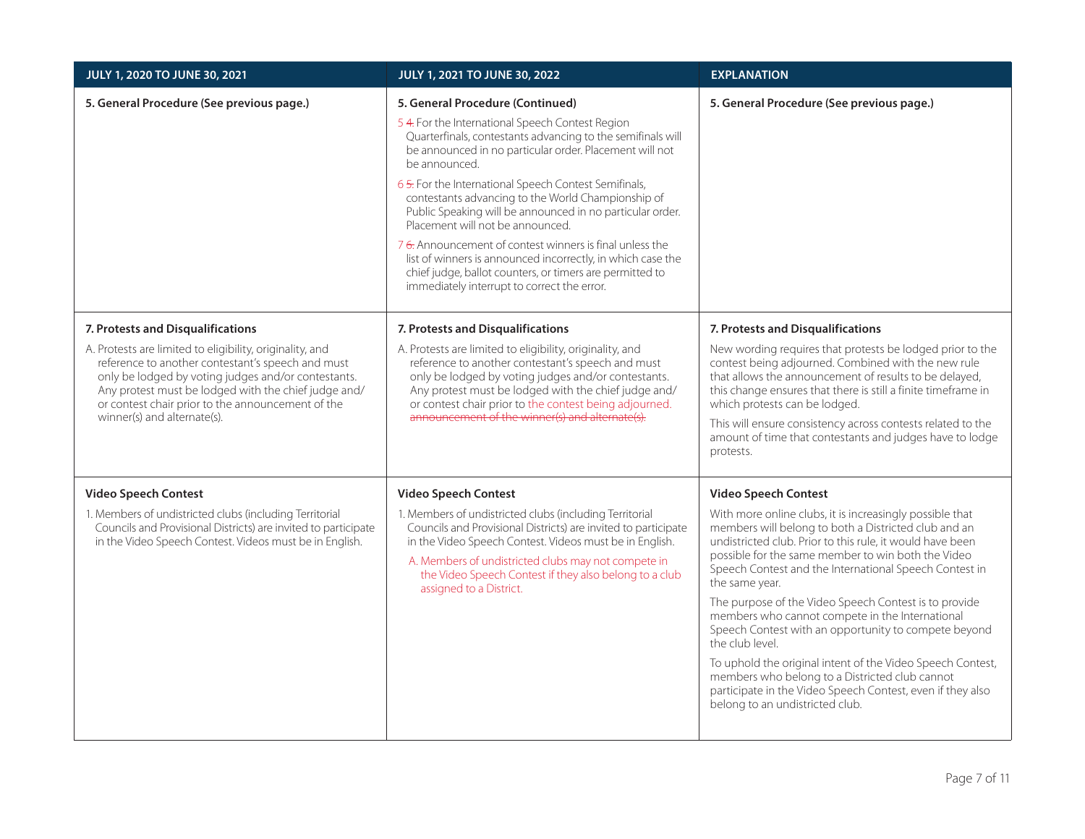| JULY 1, 2020 TO JUNE 30, 2021                                                                                                                                                                                                                                                                                                                         | JULY 1, 2021 TO JUNE 30, 2022                                                                                                                                                                                                                                                                                                                                                                                                                                                                                                                                                                                                                                                      | <b>EXPLANATION</b>                                                                                                                                                                                                                                                                                                                                                                                                                                                                                                                                                                                                                                                                                                                                     |
|-------------------------------------------------------------------------------------------------------------------------------------------------------------------------------------------------------------------------------------------------------------------------------------------------------------------------------------------------------|------------------------------------------------------------------------------------------------------------------------------------------------------------------------------------------------------------------------------------------------------------------------------------------------------------------------------------------------------------------------------------------------------------------------------------------------------------------------------------------------------------------------------------------------------------------------------------------------------------------------------------------------------------------------------------|--------------------------------------------------------------------------------------------------------------------------------------------------------------------------------------------------------------------------------------------------------------------------------------------------------------------------------------------------------------------------------------------------------------------------------------------------------------------------------------------------------------------------------------------------------------------------------------------------------------------------------------------------------------------------------------------------------------------------------------------------------|
| 5. General Procedure (See previous page.)                                                                                                                                                                                                                                                                                                             | 5. General Procedure (Continued)<br>54. For the International Speech Contest Region<br>Quarterfinals, contestants advancing to the semifinals will<br>be announced in no particular order. Placement will not<br>be announced.<br>65. For the International Speech Contest Semifinals,<br>contestants advancing to the World Championship of<br>Public Speaking will be announced in no particular order.<br>Placement will not be announced.<br>76. Announcement of contest winners is final unless the<br>list of winners is announced incorrectly, in which case the<br>chief judge, ballot counters, or timers are permitted to<br>immediately interrupt to correct the error. | 5. General Procedure (See previous page.)                                                                                                                                                                                                                                                                                                                                                                                                                                                                                                                                                                                                                                                                                                              |
| 7. Protests and Disqualifications<br>A. Protests are limited to eligibility, originality, and<br>reference to another contestant's speech and must<br>only be lodged by voting judges and/or contestants.<br>Any protest must be lodged with the chief judge and/<br>or contest chair prior to the announcement of the<br>winner(s) and alternate(s). | 7. Protests and Disqualifications<br>A. Protests are limited to eligibility, originality, and<br>reference to another contestant's speech and must<br>only be lodged by voting judges and/or contestants.<br>Any protest must be lodged with the chief judge and/<br>or contest chair prior to the contest being adjourned.<br>announcement of the winner(s) and alternate(s).                                                                                                                                                                                                                                                                                                     | 7. Protests and Disqualifications<br>New wording requires that protests be lodged prior to the<br>contest being adjourned. Combined with the new rule<br>that allows the announcement of results to be delayed,<br>this change ensures that there is still a finite timeframe in<br>which protests can be lodged.<br>This will ensure consistency across contests related to the<br>amount of time that contestants and judges have to lodge<br>protests.                                                                                                                                                                                                                                                                                              |
| <b>Video Speech Contest</b><br>1. Members of undistricted clubs (including Territorial<br>Councils and Provisional Districts) are invited to participate<br>in the Video Speech Contest. Videos must be in English.                                                                                                                                   | <b>Video Speech Contest</b><br>1. Members of undistricted clubs (including Territorial<br>Councils and Provisional Districts) are invited to participate<br>in the Video Speech Contest. Videos must be in English.<br>A. Members of undistricted clubs may not compete in<br>the Video Speech Contest if they also belong to a club<br>assigned to a District.                                                                                                                                                                                                                                                                                                                    | <b>Video Speech Contest</b><br>With more online clubs, it is increasingly possible that<br>members will belong to both a Districted club and an<br>undistricted club. Prior to this rule, it would have been<br>possible for the same member to win both the Video<br>Speech Contest and the International Speech Contest in<br>the same year.<br>The purpose of the Video Speech Contest is to provide<br>members who cannot compete in the International<br>Speech Contest with an opportunity to compete beyond<br>the club level.<br>To uphold the original intent of the Video Speech Contest,<br>members who belong to a Districted club cannot<br>participate in the Video Speech Contest, even if they also<br>belong to an undistricted club. |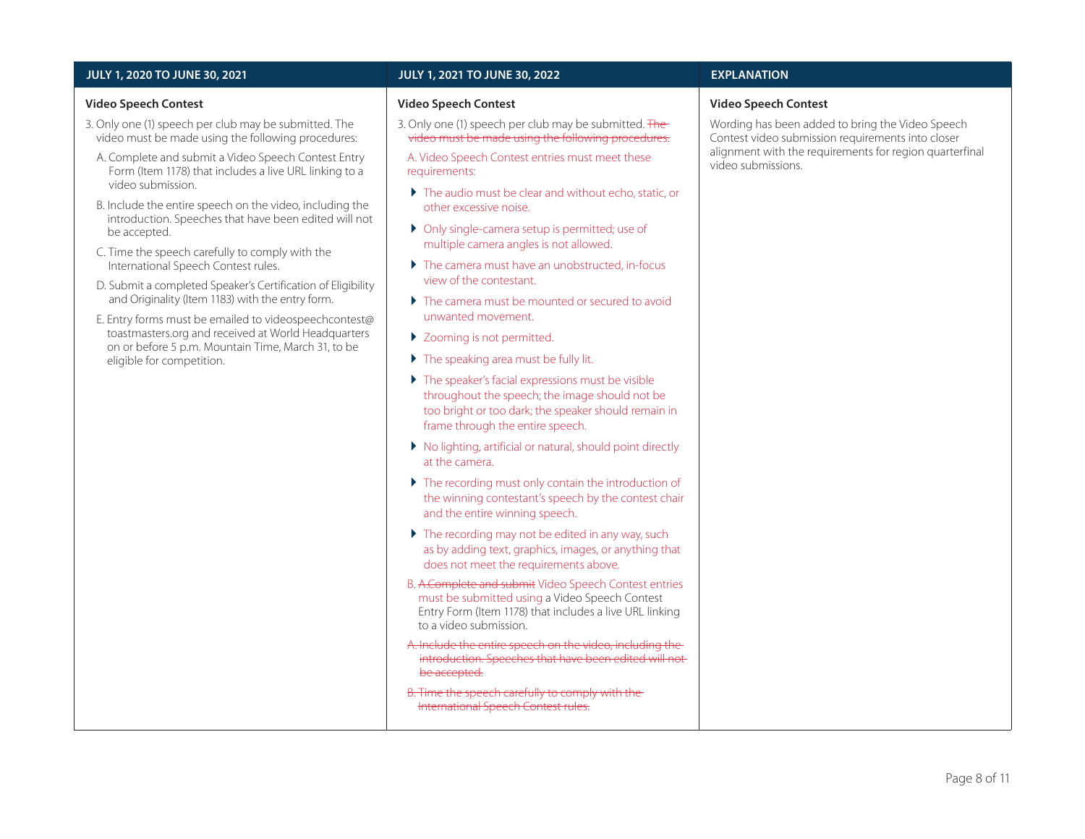#### **Video Speech Contest**

- 3. Only one (1) speech per club may be submitted. The video must be made using the following procedures:
	- A. Complete and submit a Video Speech Contest Entry Form (Item 1178) that includes a live URL linking to a video submission.
	- B. Include the entire speech on the video, including the introduction. Speeches that have been edited will not be accepted.
	- C. Time the speech carefully to comply with the International Speech Contest rules.
	- D. Submit a completed Speaker's Certification of Eligibility and Originality (Item 1183) with the entry form.
	- E. Entry forms must be emailed to videospeechcontest@ toastmasters.org and received at World Headquarters on or before 5 p.m. Mountain Time, March 31, to be eligible for competition.

#### **Video Speech Contest**

3. Only one (1) speech per club may be submitted. The video must be made using the following procedures.

A. Video Speech Contest entries must meet these requirements:

- ▶ The audio must be clear and without echo, static, or other excessive noise.
- Only single-camera setup is permitted; use of multiple camera angles is not allowed.
- $\blacktriangleright$  The camera must have an unobstructed, in-focus view of the contestant.
- $\blacktriangleright$  The camera must be mounted or secured to avoid unwanted movement.
- ▶ Zooming is not permitted.
- ▶ The speaking area must be fully lit.
- ▶ The speaker's facial expressions must be visible throughout the speech; the image should not be too bright or too dark; the speaker should remain in frame through the entire speech.
- No lighting, artificial or natural, should point directly at the camera.
- $\blacktriangleright$  The recording must only contain the introduction of the winning contestant's speech by the contest chair and the entire winning speech.
- $\blacktriangleright$  The recording may not be edited in any way, such as by adding text, graphics, images, or anything that does not meet the requirements above.
- B. A.Complete and submit Video Speech Contest entries must be submitted using a Video Speech Contest Entry Form (Item 1178) that includes a live URL linking to a video submission.
- A. Include the entire speech on the video, including the introduction. Speeches that have been edited will not be accepted.
- B. Time the speech carefully to comply with the International Speech Contest rules.

#### **Video Speech Contest**

Wording has been added to bring the Video Speech Contest video submission requirements into closer alignment with the requirements for region quarterfinal video submissions.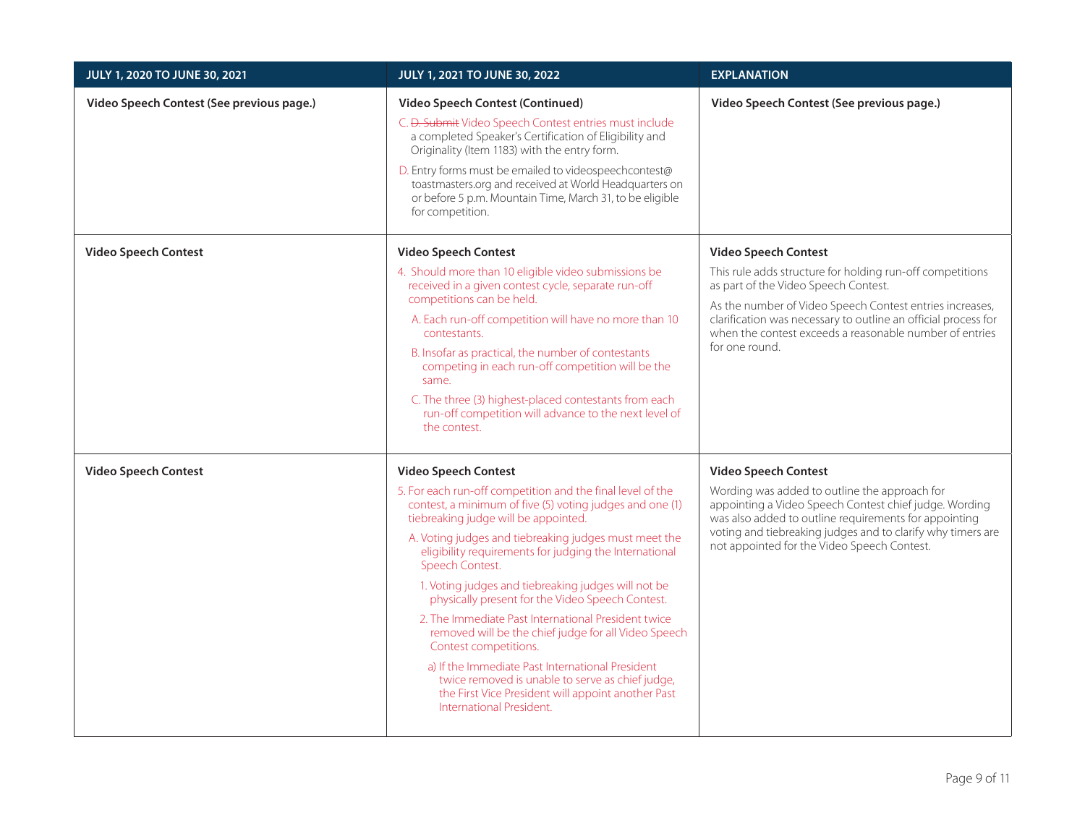| JULY 1, 2020 TO JUNE 30, 2021             | JULY 1, 2021 TO JUNE 30, 2022                                                                                                                                                                                                                                                                                                                                                                                                                                                                                                                                                                                                                                                                                                                                                    | <b>EXPLANATION</b>                                                                                                                                                                                                                                                                                                                          |
|-------------------------------------------|----------------------------------------------------------------------------------------------------------------------------------------------------------------------------------------------------------------------------------------------------------------------------------------------------------------------------------------------------------------------------------------------------------------------------------------------------------------------------------------------------------------------------------------------------------------------------------------------------------------------------------------------------------------------------------------------------------------------------------------------------------------------------------|---------------------------------------------------------------------------------------------------------------------------------------------------------------------------------------------------------------------------------------------------------------------------------------------------------------------------------------------|
| Video Speech Contest (See previous page.) | <b>Video Speech Contest (Continued)</b><br>C. <del>D. Submit</del> Video Speech Contest entries must include<br>a completed Speaker's Certification of Eligibility and<br>Originality (Item 1183) with the entry form.<br>D. Entry forms must be emailed to videospeechcontest@<br>toastmasters.org and received at World Headquarters on<br>or before 5 p.m. Mountain Time, March 31, to be eligible<br>for competition.                                                                                                                                                                                                                                                                                                                                                        | Video Speech Contest (See previous page.)                                                                                                                                                                                                                                                                                                   |
| <b>Video Speech Contest</b>               | <b>Video Speech Contest</b><br>4. Should more than 10 eligible video submissions be<br>received in a given contest cycle, separate run-off<br>competitions can be held.<br>A. Each run-off competition will have no more than 10<br>contestants.<br>B. Insofar as practical, the number of contestants<br>competing in each run-off competition will be the<br>same.<br>C. The three (3) highest-placed contestants from each<br>run-off competition will advance to the next level of<br>the contest.                                                                                                                                                                                                                                                                           | <b>Video Speech Contest</b><br>This rule adds structure for holding run-off competitions<br>as part of the Video Speech Contest.<br>As the number of Video Speech Contest entries increases,<br>clarification was necessary to outline an official process for<br>when the contest exceeds a reasonable number of entries<br>for one round. |
| <b>Video Speech Contest</b>               | <b>Video Speech Contest</b><br>5. For each run-off competition and the final level of the<br>contest, a minimum of five (5) voting judges and one (1)<br>tiebreaking judge will be appointed.<br>A. Voting judges and tiebreaking judges must meet the<br>eligibility requirements for judging the International<br>Speech Contest.<br>1. Voting judges and tiebreaking judges will not be<br>physically present for the Video Speech Contest.<br>2. The Immediate Past International President twice<br>removed will be the chief judge for all Video Speech<br>Contest competitions.<br>a) If the Immediate Past International President<br>twice removed is unable to serve as chief judge,<br>the First Vice President will appoint another Past<br>International President. | <b>Video Speech Contest</b><br>Wording was added to outline the approach for<br>appointing a Video Speech Contest chief judge. Wording<br>was also added to outline requirements for appointing<br>voting and tiebreaking judges and to clarify why timers are<br>not appointed for the Video Speech Contest.                               |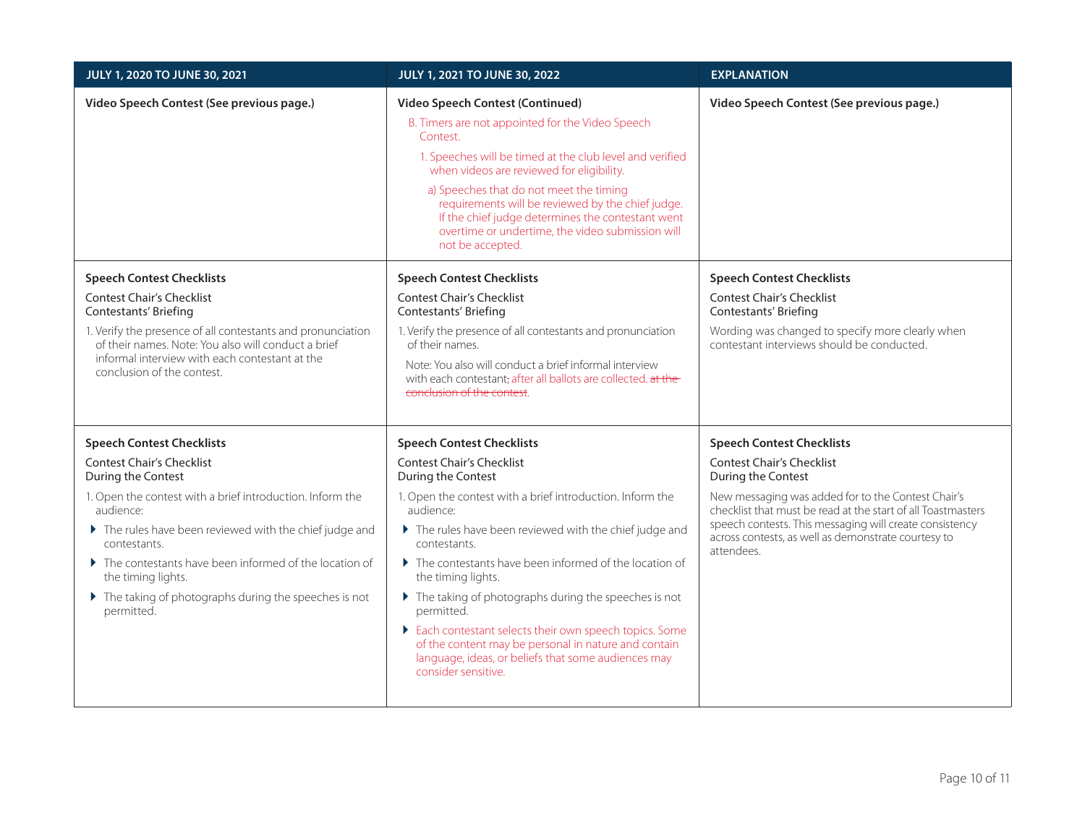| JULY 1, 2020 TO JUNE 30, 2021                                                                                                                                                                                                                                                                                                                                                                                            | JULY 1, 2021 TO JUNE 30, 2022                                                                                                                                                                                                                                                                                                                                                                                                                                                                                                                                                                     | <b>EXPLANATION</b>                                                                                                                                                                                                                                                                                                                               |
|--------------------------------------------------------------------------------------------------------------------------------------------------------------------------------------------------------------------------------------------------------------------------------------------------------------------------------------------------------------------------------------------------------------------------|---------------------------------------------------------------------------------------------------------------------------------------------------------------------------------------------------------------------------------------------------------------------------------------------------------------------------------------------------------------------------------------------------------------------------------------------------------------------------------------------------------------------------------------------------------------------------------------------------|--------------------------------------------------------------------------------------------------------------------------------------------------------------------------------------------------------------------------------------------------------------------------------------------------------------------------------------------------|
| Video Speech Contest (See previous page.)                                                                                                                                                                                                                                                                                                                                                                                | <b>Video Speech Contest (Continued)</b><br>B. Timers are not appointed for the Video Speech<br>Contest.<br>1. Speeches will be timed at the club level and verified<br>when videos are reviewed for eligibility.<br>a) Speeches that do not meet the timing<br>requirements will be reviewed by the chief judge.<br>If the chief judge determines the contestant went<br>overtime or undertime, the video submission will<br>not be accepted.                                                                                                                                                     | Video Speech Contest (See previous page.)                                                                                                                                                                                                                                                                                                        |
| <b>Speech Contest Checklists</b><br><b>Contest Chair's Checklist</b><br><b>Contestants' Briefing</b><br>1. Verify the presence of all contestants and pronunciation<br>of their names. Note: You also will conduct a brief<br>informal interview with each contestant at the<br>conclusion of the contest.                                                                                                               | <b>Speech Contest Checklists</b><br><b>Contest Chair's Checklist</b><br><b>Contestants' Briefing</b><br>1. Verify the presence of all contestants and pronunciation<br>of their names.<br>Note: You also will conduct a brief informal interview<br>with each contestant, after all ballots are collected. at the<br>conclusion of the contest.                                                                                                                                                                                                                                                   | <b>Speech Contest Checklists</b><br><b>Contest Chair's Checklist</b><br><b>Contestants' Briefing</b><br>Wording was changed to specify more clearly when<br>contestant interviews should be conducted.                                                                                                                                           |
| <b>Speech Contest Checklists</b><br><b>Contest Chair's Checklist</b><br>During the Contest<br>1. Open the contest with a brief introduction. Inform the<br>audience:<br>The rules have been reviewed with the chief judge and<br>contestants.<br>The contestants have been informed of the location of<br>the timing lights.<br>$\blacktriangleright$ The taking of photographs during the speeches is not<br>permitted. | <b>Speech Contest Checklists</b><br><b>Contest Chair's Checklist</b><br>During the Contest<br>1. Open the contest with a brief introduction. Inform the<br>audience:<br>The rules have been reviewed with the chief judge and<br>contestants.<br>The contestants have been informed of the location of<br>the timing lights.<br>The taking of photographs during the speeches is not<br>permitted.<br>Each contestant selects their own speech topics. Some<br>of the content may be personal in nature and contain<br>language, ideas, or beliefs that some audiences may<br>consider sensitive. | <b>Speech Contest Checklists</b><br><b>Contest Chair's Checklist</b><br>During the Contest<br>New messaging was added for to the Contest Chair's<br>checklist that must be read at the start of all Toastmasters<br>speech contests. This messaging will create consistency<br>across contests, as well as demonstrate courtesy to<br>attendees. |